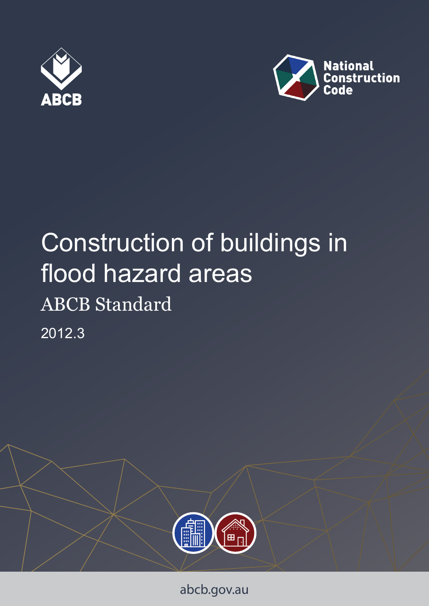



# Construction of buildings in flood hazard areas ABCB Standard





abcb.gov.au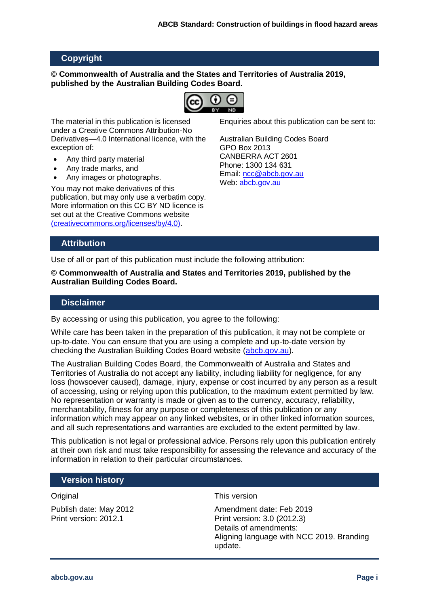#### **Copyright**

#### **© Commonwealth of Australia and the States and Territories of Australia 2019, published by the Australian Building Codes Board.**



The material in this publication is licensed under a Creative Commons Attribution-No Derivatives—4.0 International licence, with the exception of:

- Any third party material
- Any trade marks, and
- Any images or photographs.

You may not make derivatives of this publication, but may only use a verbatim copy. More information on this CC BY ND licence is set out at the Creative Commons website [\(creativecommons.org/licenses/by/4.0\)](http://www.creativecommons.org/licenses/by/4.0).

Enquiries about this publication can be sent to:

Australian Building Codes Board GPO Box 2013 CANBERRA ACT 2601 Phone: 1300 134 631 Email: [ncc@abcb.gov.au](mailto:ncc@abcb.gov.au) Web: [abcb.gov.au](https://www.abcb.gov.au/)

#### **Attribution**

Use of all or part of this publication must include the following attribution:

**© Commonwealth of Australia and States and Territories 2019, published by the Australian Building Codes Board.**

#### **Disclaimer**

By accessing or using this publication, you agree to the following:

While care has been taken in the preparation of this publication, it may not be complete or up-to-date. You can ensure that you are using a complete and up-to-date version by checking the Australian Building Codes Board website [\(abcb.gov.au\)](https://www.abcb.gov.au/).

The Australian Building Codes Board, the Commonwealth of Australia and States and Territories of Australia do not accept any liability, including liability for negligence, for any loss (howsoever caused), damage, injury, expense or cost incurred by any person as a result of accessing, using or relying upon this publication, to the maximum extent permitted by law. No representation or warranty is made or given as to the currency, accuracy, reliability, merchantability, fitness for any purpose or completeness of this publication or any information which may appear on any linked websites, or in other linked information sources, and all such representations and warranties are excluded to the extent permitted by law.

This publication is not legal or professional advice. Persons rely upon this publication entirely at their own risk and must take responsibility for assessing the relevance and accuracy of the information in relation to their particular circumstances.

#### **Version history**

Original

Publish date: May 2012 Print version: 2012.1

#### This version

Amendment date: Feb 2019 Print version: 3.0 (2012.3) Details of amendments: Aligning language with NCC 2019. Branding update.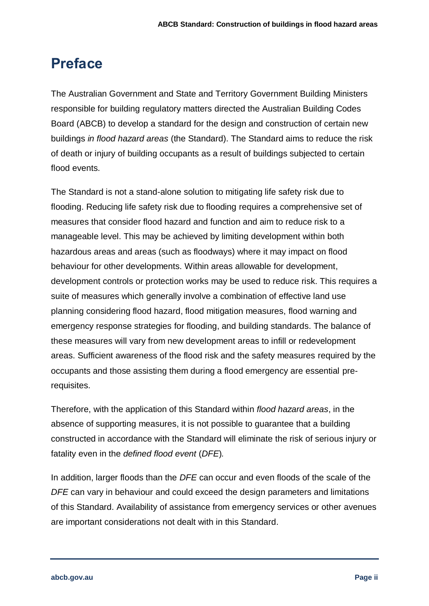# **Preface**

The Australian Government and State and Territory Government Building Ministers responsible for building regulatory matters directed the Australian Building Codes Board (ABCB) to develop a standard for the design and construction of certain new buildings *in flood hazard areas* (the Standard). The Standard aims to reduce the risk of death or injury of building occupants as a result of buildings subjected to certain flood events.

The Standard is not a stand-alone solution to mitigating life safety risk due to flooding. Reducing life safety risk due to flooding requires a comprehensive set of measures that consider flood hazard and function and aim to reduce risk to a manageable level. This may be achieved by limiting development within both hazardous areas and areas (such as floodways) where it may impact on flood behaviour for other developments. Within areas allowable for development, development controls or protection works may be used to reduce risk. This requires a suite of measures which generally involve a combination of effective land use planning considering flood hazard, flood mitigation measures, flood warning and emergency response strategies for flooding, and building standards. The balance of these measures will vary from new development areas to infill or redevelopment areas. Sufficient awareness of the flood risk and the safety measures required by the occupants and those assisting them during a flood emergency are essential prerequisites.

Therefore, with the application of this Standard within *flood hazard areas*, in the absence of supporting measures, it is not possible to guarantee that a building constructed in accordance with the Standard will eliminate the risk of serious injury or fatality even in the *defined flood event* (*DFE*)*.*

In addition, larger floods than the *DFE* can occur and even floods of the scale of the *DFE* can vary in behaviour and could exceed the design parameters and limitations of this Standard. Availability of assistance from emergency services or other avenues are important considerations not dealt with in this Standard.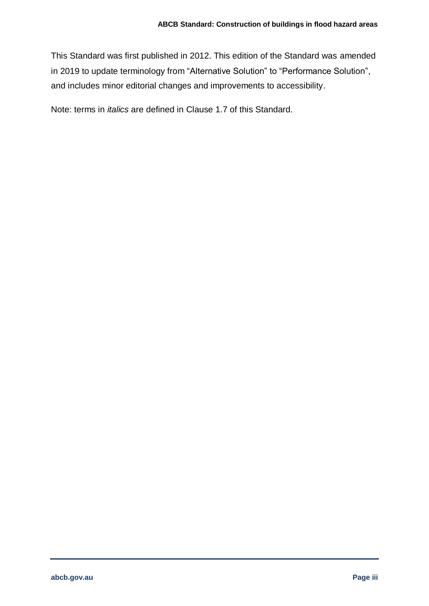This Standard was first published in 2012. This edition of the Standard was amended in 2019 to update terminology from "Alternative Solution" to "Performance Solution", and includes minor editorial changes and improvements to accessibility.

Note: terms in *italics* are defined in [Clause 1.7](#page-11-0) of this Standard.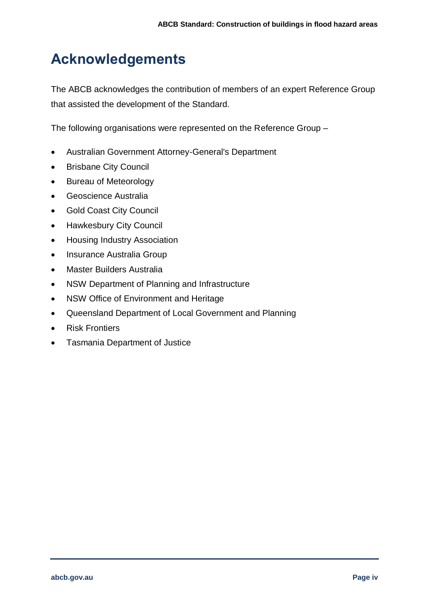# **Acknowledgements**

The ABCB acknowledges the contribution of members of an expert Reference Group that assisted the development of the Standard.

The following organisations were represented on the Reference Group –

- Australian Government Attorney-General's Department
- Brisbane City Council
- Bureau of Meteorology
- Geoscience Australia
- Gold Coast City Council
- Hawkesbury City Council
- Housing Industry Association
- Insurance Australia Group
- Master Builders Australia
- NSW Department of Planning and Infrastructure
- NSW Office of Environment and Heritage
- Queensland Department of Local Government and Planning
- Risk Frontiers
- Tasmania Department of Justice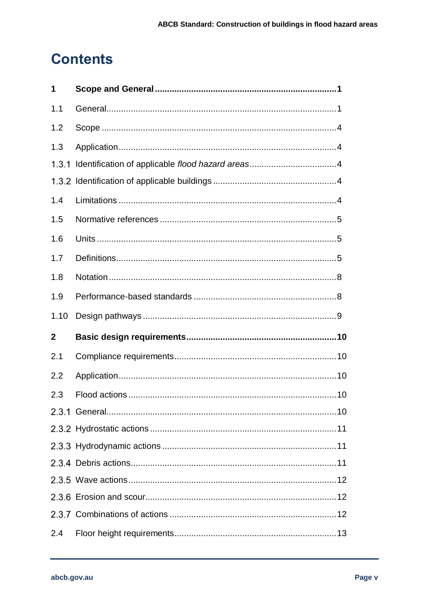# **Contents**

| 1            |  |
|--------------|--|
| 1.1          |  |
| 1.2          |  |
| 1.3          |  |
| 1.3.1        |  |
|              |  |
| 1.4          |  |
| 1.5          |  |
| 1.6          |  |
| 1.7          |  |
| 1.8          |  |
| 1.9          |  |
| 1.10         |  |
| $\mathbf{2}$ |  |
|              |  |
| 2.1          |  |
| 2.2          |  |
| 2.3          |  |
|              |  |
|              |  |
|              |  |
|              |  |
|              |  |
|              |  |
|              |  |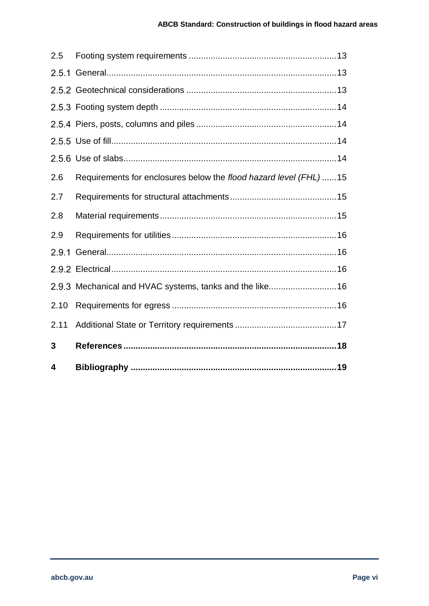| 4     |                                                                   |
|-------|-------------------------------------------------------------------|
| 3     |                                                                   |
| 2.11  |                                                                   |
| 2.10  |                                                                   |
|       | 2.9.3 Mechanical and HVAC systems, tanks and the like 16          |
|       |                                                                   |
| 2.9.1 |                                                                   |
| 2.9   |                                                                   |
| 2.8   |                                                                   |
| 2.7   |                                                                   |
| 2.6   | Requirements for enclosures below the flood hazard level (FHL) 15 |
|       |                                                                   |
|       |                                                                   |
|       |                                                                   |
|       |                                                                   |
|       |                                                                   |
|       |                                                                   |
| 2.5   |                                                                   |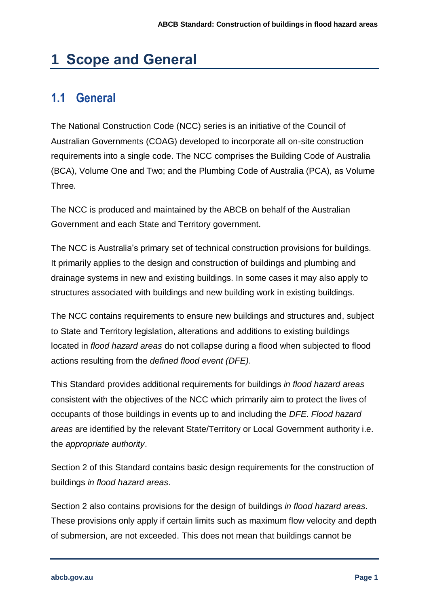# <span id="page-7-0"></span>**1 Scope and General**

## <span id="page-7-1"></span>**1.1 General**

The National Construction Code (NCC) series is an initiative of the Council of Australian Governments (COAG) developed to incorporate all on-site construction requirements into a single code. The NCC comprises the Building Code of Australia (BCA), Volume One and Two; and the Plumbing Code of Australia (PCA), as Volume Three.

The NCC is produced and maintained by the ABCB on behalf of the Australian Government and each State and Territory government.

The NCC is Australia's primary set of technical construction provisions for buildings. It primarily applies to the design and construction of buildings and plumbing and drainage systems in new and existing buildings. In some cases it may also apply to structures associated with buildings and new building work in existing buildings.

The NCC contains requirements to ensure new buildings and structures and, subject to State and Territory legislation, alterations and additions to existing buildings located in *flood hazard areas* do not collapse during a flood when subjected to flood actions resulting from the *defined flood event (DFE)*.

This Standard provides additional requirements for buildings *in flood hazard areas*  consistent with the objectives of the NCC which primarily aim to protect the lives of occupants of those buildings in events up to and including the *DFE*. *Flood hazard areas* are identified by the relevant State/Territory or Local Government authority i.e. the *appropriate authority*.

[Section 2](#page-16-0) of this Standard contains basic design requirements for the construction of buildings *in flood hazard areas*.

[Section 2](#page-16-0) also contains provisions for the design of buildings *in flood hazard areas*. These provisions only apply if certain limits such as maximum flow velocity and depth of submersion, are not exceeded. This does not mean that buildings cannot be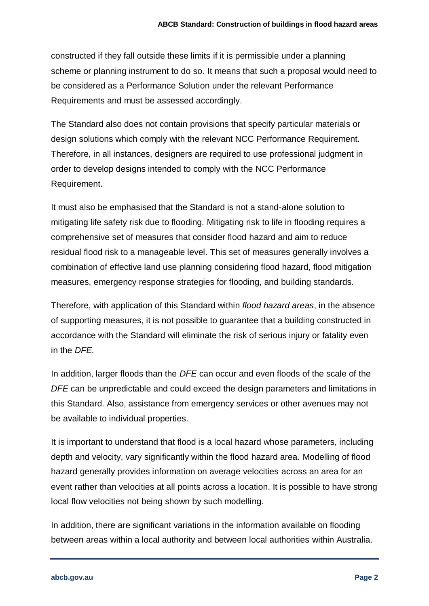constructed if they fall outside these limits if it is permissible under a planning scheme or planning instrument to do so. It means that such a proposal would need to be considered as a Performance Solution under the relevant Performance Requirements and must be assessed accordingly.

The Standard also does not contain provisions that specify particular materials or design solutions which comply with the relevant NCC Performance Requirement. Therefore, in all instances, designers are required to use professional judgment in order to develop designs intended to comply with the NCC Performance Requirement.

It must also be emphasised that the Standard is not a stand-alone solution to mitigating life safety risk due to flooding. Mitigating risk to life in flooding requires a comprehensive set of measures that consider flood hazard and aim to reduce residual flood risk to a manageable level. This set of measures generally involves a combination of effective land use planning considering flood hazard, flood mitigation measures, emergency response strategies for flooding, and building standards.

Therefore, with application of this Standard within *flood hazard areas*, in the absence of supporting measures, it is not possible to guarantee that a building constructed in accordance with the Standard will eliminate the risk of serious injury or fatality even in the *DFE.*

In addition, larger floods than the *DFE* can occur and even floods of the scale of the *DFE* can be unpredictable and could exceed the design parameters and limitations in this Standard. Also, assistance from emergency services or other avenues may not be available to individual properties.

It is important to understand that flood is a local hazard whose parameters, including depth and velocity, vary significantly within the flood hazard area. Modelling of flood hazard generally provides information on average velocities across an area for an event rather than velocities at all points across a location. It is possible to have strong local flow velocities not being shown by such modelling.

In addition, there are significant variations in the information available on flooding between areas within a local authority and between local authorities within Australia.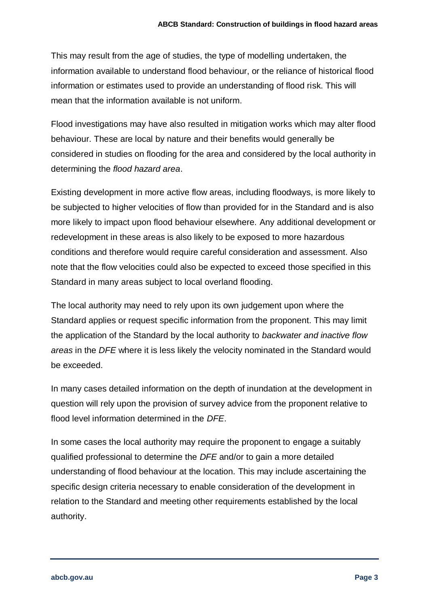This may result from the age of studies, the type of modelling undertaken, the information available to understand flood behaviour, or the reliance of historical flood information or estimates used to provide an understanding of flood risk. This will mean that the information available is not uniform.

Flood investigations may have also resulted in mitigation works which may alter flood behaviour. These are local by nature and their benefits would generally be considered in studies on flooding for the area and considered by the local authority in determining the *flood hazard area*.

Existing development in more active flow areas, including floodways, is more likely to be subjected to higher velocities of flow than provided for in the Standard and is also more likely to impact upon flood behaviour elsewhere. Any additional development or redevelopment in these areas is also likely to be exposed to more hazardous conditions and therefore would require careful consideration and assessment. Also note that the flow velocities could also be expected to exceed those specified in this Standard in many areas subject to local overland flooding.

The local authority may need to rely upon its own judgement upon where the Standard applies or request specific information from the proponent. This may limit the application of the Standard by the local authority to *backwater and inactive flow areas* in the *DFE* where it is less likely the velocity nominated in the Standard would be exceeded.

In many cases detailed information on the depth of inundation at the development in question will rely upon the provision of survey advice from the proponent relative to flood level information determined in the *DFE*.

In some cases the local authority may require the proponent to engage a suitably qualified professional to determine the *DFE* and/or to gain a more detailed understanding of flood behaviour at the location. This may include ascertaining the specific design criteria necessary to enable consideration of the development in relation to the Standard and meeting other requirements established by the local authority.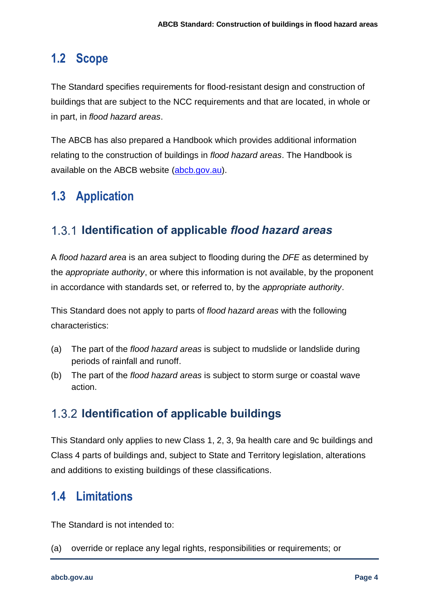#### <span id="page-10-0"></span>**1.2 Scope**

The Standard specifies requirements for flood-resistant design and construction of buildings that are subject to the NCC requirements and that are located, in whole or in part, in *flood hazard areas*.

The ABCB has also prepared a Handbook which provides additional information relating to the construction of buildings in *flood hazard areas*. The Handbook is available on the ABCB website [\(abcb.gov.au\)](https://www.abcb.gov.au/).

## <span id="page-10-1"></span>**1.3 Application**

#### <span id="page-10-2"></span>1.3.1 **Identification of applicable** *flood hazard areas*

A *flood hazard area* is an area subject to flooding during the *DFE* as determined by the *appropriate authority*, or where this information is not available, by the proponent in accordance with standards set, or referred to, by the *appropriate authority*.

This Standard does not apply to parts of *flood hazard areas* with the following characteristics:

- (a) The part of the *flood hazard areas* is subject to mudslide or landslide during periods of rainfall and runoff.
- (b) The part of the *flood hazard areas* is subject to storm surge or coastal wave action.

#### <span id="page-10-3"></span>**1.3.2 Identification of applicable buildings**

This Standard only applies to new Class 1, 2, 3, 9a health care and 9c buildings and Class 4 parts of buildings and, subject to State and Territory legislation, alterations and additions to existing buildings of these classifications.

## <span id="page-10-4"></span>**1.4 Limitations**

The Standard is not intended to:

(a) override or replace any legal rights, responsibilities or requirements; or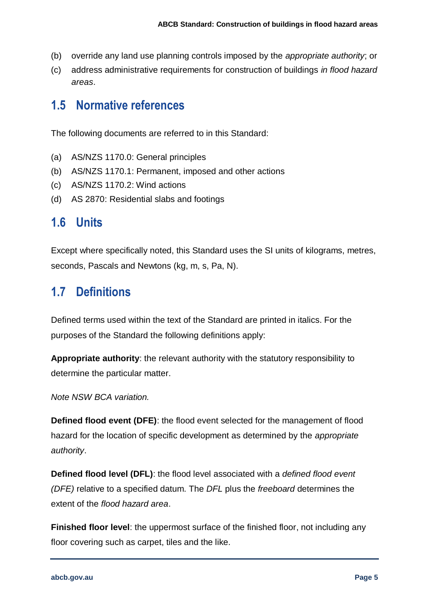- (b) override any land use planning controls imposed by the *appropriate authority*; or
- (c) address administrative requirements for construction of buildings *in flood hazard areas*.

#### <span id="page-11-1"></span>**1.5 Normative references**

The following documents are referred to in this Standard:

- (a) AS/NZS 1170.0: General principles
- (b) AS/NZS 1170.1: Permanent, imposed and other actions
- (c) AS/NZS 1170.2: Wind actions
- (d) AS 2870: Residential slabs and footings

#### <span id="page-11-2"></span>**1.6 Units**

Except where specifically noted, this Standard uses the SI units of kilograms, metres, seconds, Pascals and Newtons (kg, m, s, Pa, N).

#### <span id="page-11-0"></span>**1.7 Definitions**

Defined terms used within the text of the Standard are printed in italics. For the purposes of the Standard the following definitions apply:

**Appropriate authority**: the relevant authority with the statutory responsibility to determine the particular matter.

*Note NSW BCA variation.*

**Defined flood event (DFE)**: the flood event selected for the management of flood hazard for the location of specific development as determined by the *appropriate authority*.

**Defined flood level (DFL)**: the flood level associated with a *defined flood event (DFE)* relative to a specified datum. The *DFL* plus the *freeboard* determines the extent of the *flood hazard area*.

**Finished floor level:** the uppermost surface of the finished floor, not including any floor covering such as carpet, tiles and the like.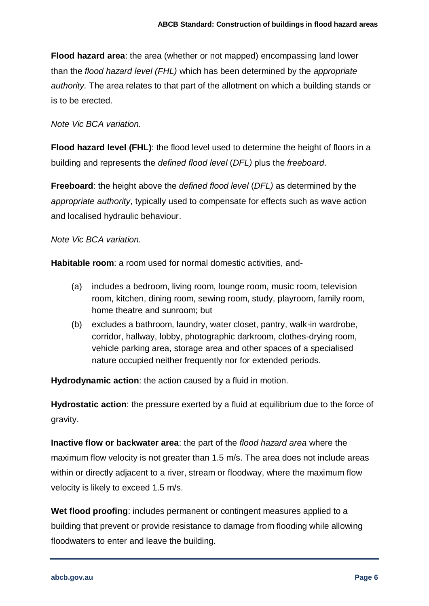**Flood hazard area**: the area (whether or not mapped) encompassing land lower than the *flood hazard level (FHL)* which has been determined by the *appropriate authority.* The area relates to that part of the allotment on which a building stands or is to be erected.

#### *Note Vic BCA variation.*

**Flood hazard level (FHL)**: the flood level used to determine the height of floors in a building and represents the *defined flood level* (*DFL)* plus the *freeboard*.

**Freeboard**: the height above the *defined flood level* (*DFL)* as determined by the *appropriate authority*, typically used to compensate for effects such as wave action and localised hydraulic behaviour.

*Note Vic BCA variation.*

**Habitable room**: a room used for normal domestic activities, and-

- (a) includes a bedroom, living room, lounge room, music room, television room, kitchen, dining room, sewing room, study, playroom, family room, home theatre and sunroom; but
- (b) excludes a bathroom, laundry, water closet, pantry, walk-in wardrobe, corridor, hallway, lobby, photographic darkroom, clothes-drying room, vehicle parking area, storage area and other spaces of a specialised nature occupied neither frequently nor for extended periods.

**Hydrodynamic action**: the action caused by a fluid in motion.

**Hydrostatic action**: the pressure exerted by a fluid at equilibrium due to the force of gravity.

**Inactive flow or backwater area**: the part of the *flood hazard area* where the maximum flow velocity is not greater than 1.5 m/s. The area does not include areas within or directly adjacent to a river, stream or floodway, where the maximum flow velocity is likely to exceed 1.5 m/s.

**Wet flood proofing**: includes permanent or contingent measures applied to a building that prevent or provide resistance to damage from flooding while allowing floodwaters to enter and leave the building.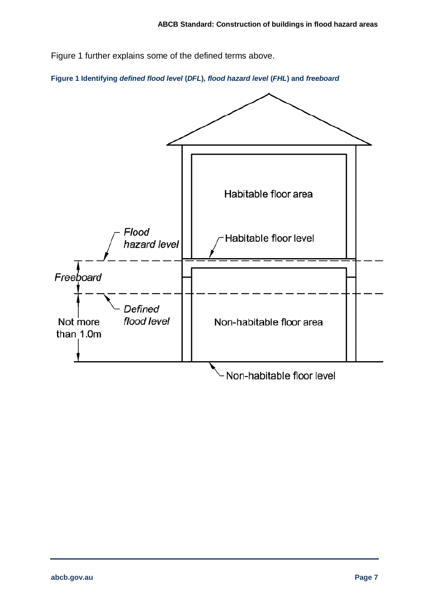Figure 1 further explains some of the defined terms above.

**Figure 1 Identifying** *defined flood level* **(***DFL***),** *flood hazard level* **(***FHL***) and** *freeboard*

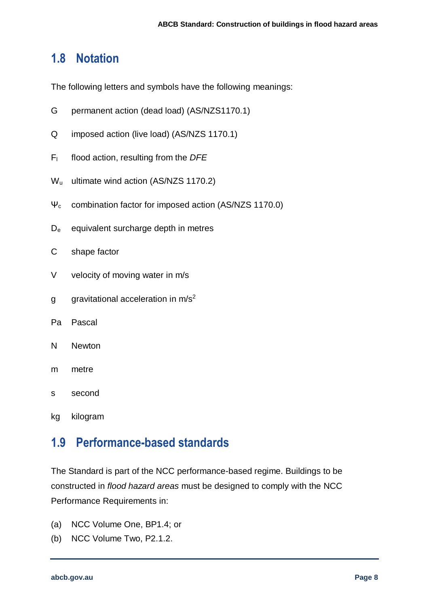#### <span id="page-14-0"></span>**1.8 Notation**

The following letters and symbols have the following meanings:

- G permanent action (dead load) (AS/NZS1170.1)
- Q imposed action (live load) (AS/NZS 1170.1)
- F<sup>l</sup> flood action, resulting from the *DFE*
- W<sub>u</sub> ultimate wind action (AS/NZS 1170.2)
- Ψ<sup>c</sup> combination factor for imposed action (AS/NZS 1170.0)
- D<sup>e</sup> equivalent surcharge depth in metres
- C shape factor
- V velocity of moving water in m/s
- $g$  gravitational acceleration in  $m/s^2$
- Pa Pascal
- N Newton
- m metre
- s second
- kg kilogram

#### <span id="page-14-1"></span>**1.9 Performance-based standards**

The Standard is part of the NCC performance-based regime. Buildings to be constructed in *flood hazard areas* must be designed to comply with the NCC Performance Requirements in:

- (a) NCC Volume One, BP1.4; or
- (b) NCC Volume Two, P2.1.2.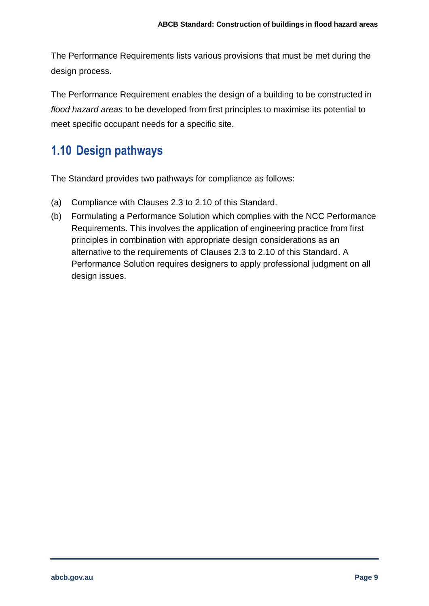The Performance Requirements lists various provisions that must be met during the design process.

The Performance Requirement enables the design of a building to be constructed in *flood hazard areas* to be developed from first principles to maximise its potential to meet specific occupant needs for a specific site.

## <span id="page-15-0"></span>**1.10 Design pathways**

The Standard provides two pathways for compliance as follows:

- (a) Compliance with [Clauses 2.3](#page-16-3) to [2.10](#page-22-4) of this Standard.
- (b) Formulating a Performance Solution which complies with the NCC Performance Requirements. This involves the application of engineering practice from first principles in combination with appropriate design considerations as an alternative to the requirements of [Clauses 2.3](#page-16-3) to [2.10](#page-22-4) of this Standard. A Performance Solution requires designers to apply professional judgment on all design issues.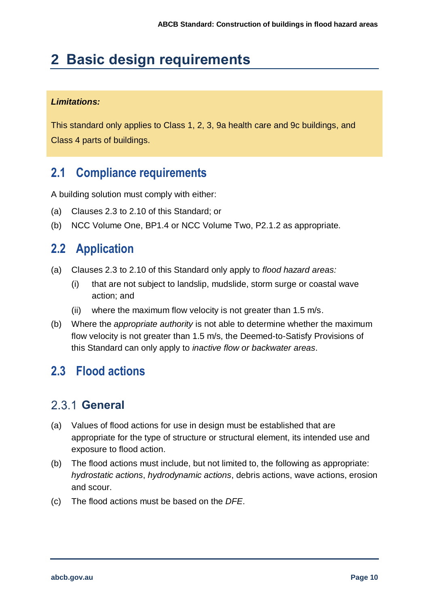# <span id="page-16-0"></span>**2 Basic design requirements**

#### *Limitations:*

This standard only applies to Class 1, 2, 3, 9a health care and 9c buildings, and Class 4 parts of buildings.

## <span id="page-16-1"></span>**2.1 Compliance requirements**

A building solution must comply with either:

- (a) [Clauses 2.3](#page-16-3) to [2.10](#page-22-4) of this Standard; or
- (b) NCC Volume One, BP1.4 or NCC Volume Two, P2.1.2 as appropriate.

#### <span id="page-16-2"></span>**2.2 Application**

- (a) [Clauses 2.3](#page-16-3) to [2.10](#page-22-4) of this Standard only apply to *flood hazard areas:*
	- (i) that are not subject to landslip, mudslide, storm surge or coastal wave action; and
	- (ii) where the maximum flow velocity is not greater than 1.5 m/s.
- (b) Where the *appropriate authority* is not able to determine whether the maximum flow velocity is not greater than 1.5 m/s, the Deemed-to-Satisfy Provisions of this Standard can only apply to *inactive flow or backwater areas*.

#### <span id="page-16-3"></span>**2.3 Flood actions**

#### <span id="page-16-4"></span>**General**

- (a) Values of flood actions for use in design must be established that are appropriate for the type of structure or structural element, its intended use and exposure to flood action.
- (b) The flood actions must include, but not limited to, the following as appropriate: *hydrostatic actions*, *hydrodynamic actions*, debris actions, wave actions, erosion and scour.
- (c) The flood actions must be based on the *DFE*.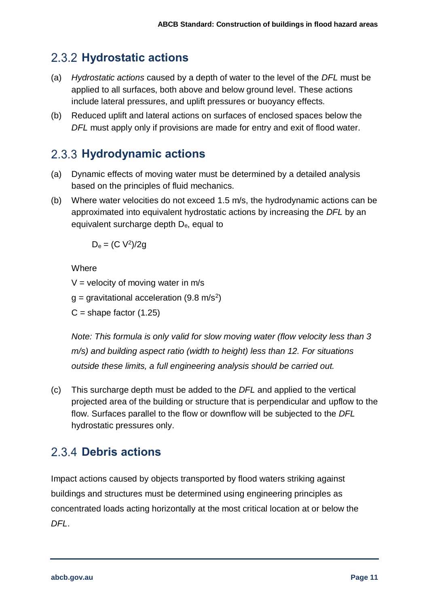#### <span id="page-17-0"></span>**Hydrostatic actions**

- (a) *Hydrostatic actions* caused by a depth of water to the level of the *DFL* must be applied to all surfaces, both above and below ground level. These actions include lateral pressures, and uplift pressures or buoyancy effects.
- (b) Reduced uplift and lateral actions on surfaces of enclosed spaces below the *DFL* must apply only if provisions are made for entry and exit of flood water.

#### <span id="page-17-1"></span>**Hydrodynamic actions**

- (a) Dynamic effects of moving water must be determined by a detailed analysis based on the principles of fluid mechanics.
- (b) Where water velocities do not exceed 1.5 m/s, the hydrodynamic actions can be approximated into equivalent hydrostatic actions by increasing the *DFL* by an equivalent surcharge depth De, equal to

 $D_e = (C V^2)/2g$ 

**Where** 

 $V =$  velocity of moving water in m/s

g = gravitational acceleration (9.8 m/s<sup>2</sup>)

 $C =$ shape factor  $(1.25)$ 

*Note: This formula is only valid for slow moving water (flow velocity less than 3 m/s) and building aspect ratio (width to height) less than 12. For situations outside these limits, a full engineering analysis should be carried out.*

(c) This surcharge depth must be added to the *DFL* and applied to the vertical projected area of the building or structure that is perpendicular and upflow to the flow. Surfaces parallel to the flow or downflow will be subjected to the *DFL* hydrostatic pressures only.

#### <span id="page-17-2"></span>2.3.4 Debris actions

Impact actions caused by objects transported by flood waters striking against buildings and structures must be determined using engineering principles as concentrated loads acting horizontally at the most critical location at or below the *DFL*.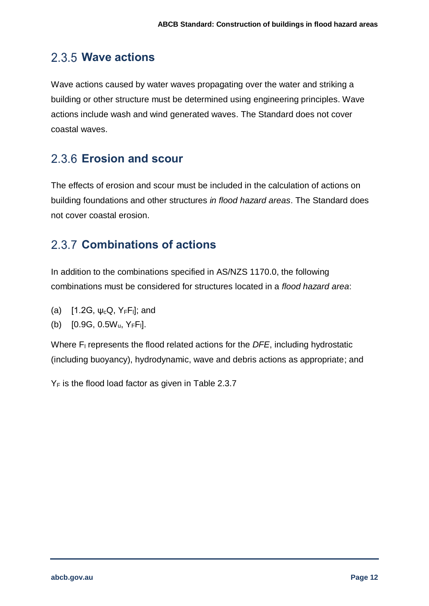### <span id="page-18-0"></span>**Wave actions**

Wave actions caused by water waves propagating over the water and striking a building or other structure must be determined using engineering principles. Wave actions include wash and wind generated waves. The Standard does not cover coastal waves.

## <span id="page-18-1"></span>**Erosion and scour**

The effects of erosion and scour must be included in the calculation of actions on building foundations and other structures *in flood hazard areas*. The Standard does not cover coastal erosion.

## <span id="page-18-2"></span>**Combinations of actions**

In addition to the combinations specified in AS/NZS 1170.0, the following combinations must be considered for structures located in a *flood hazard area*:

- (a) [1.2G,  $\psi_c Q$ ,  $Y_F F_1$ ]; and
- (b)  $[0.9G, 0.5W_u, Y_FF_l]$ .

Where F<sub>l</sub> represents the flood related actions for the *DFE*, including hydrostatic (including buoyancy), hydrodynamic, wave and debris actions as appropriate; and

 $Y_F$  is the flood load factor as given in Table 2.3.7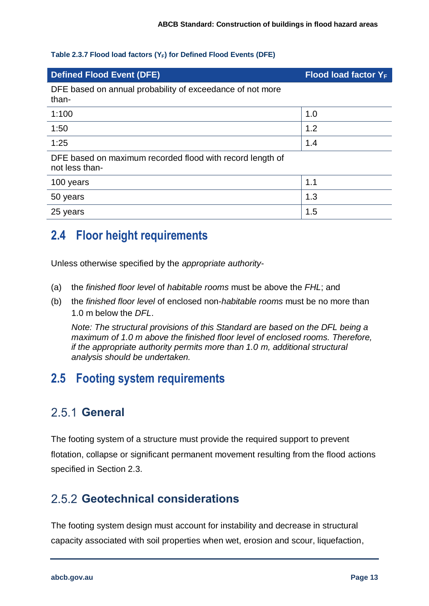#### **Table 2.3.7 Flood load factors (YF) for Defined Flood Events (DFE)**

| <b>Defined Flood Event (DFE)</b>                                            | Flood load factor $Y_F$ |  |
|-----------------------------------------------------------------------------|-------------------------|--|
| DFE based on annual probability of exceedance of not more<br>than-          |                         |  |
| 1:100                                                                       | 1.0                     |  |
| 1:50                                                                        | 1.2                     |  |
| 1:25                                                                        | 1.4                     |  |
| DFE based on maximum recorded flood with record length of<br>not less than- |                         |  |
| 100 years                                                                   | 1.1                     |  |
| 50 years                                                                    | 1.3                     |  |
| 25 years                                                                    | 1.5                     |  |

### <span id="page-19-0"></span>**2.4 Floor height requirements**

Unless otherwise specified by the *appropriate authority*-

- (a) the *finished floor level* of *habitable rooms* must be above the *FHL*; and
- (b) the *finished floor level* of enclosed non-*habitable rooms* must be no more than 1.0 m below the *DFL*.

*Note: The structural provisions of this Standard are based on the DFL being a maximum of 1.0 m above the finished floor level of enclosed rooms. Therefore, if the appropriate authority permits more than 1.0 m, additional structural analysis should be undertaken.*

## <span id="page-19-1"></span>**2.5 Footing system requirements**

#### <span id="page-19-2"></span>2.5.1 General

The footing system of a structure must provide the required support to prevent flotation, collapse or significant permanent movement resulting from the flood actions specified in [Section 2.3.](#page-16-3)

#### <span id="page-19-3"></span>**Geotechnical considerations**

The footing system design must account for instability and decrease in structural capacity associated with soil properties when wet, erosion and scour, liquefaction,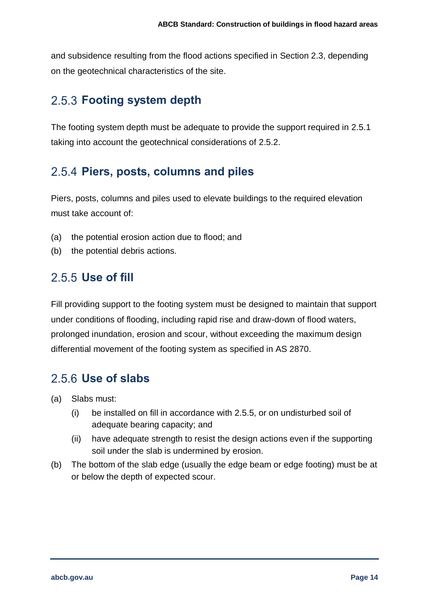and subsidence resulting from the flood actions specified in [Section 2.3,](#page-16-3) depending on the geotechnical characteristics of the site.

#### <span id="page-20-0"></span>**Footing system depth**

The footing system depth must be adequate to provide the support required in [2.5.1](#page-19-2) taking into account the geotechnical considerations of [2.5.2.](#page-19-3)

#### <span id="page-20-1"></span>**Piers, posts, columns and piles**

Piers, posts, columns and piles used to elevate buildings to the required elevation must take account of:

- (a) the potential erosion action due to flood; and
- (b) the potential debris actions.

### <span id="page-20-2"></span>**Use of fill**

Fill providing support to the footing system must be designed to maintain that support under conditions of flooding, including rapid rise and draw-down of flood waters, prolonged inundation, erosion and scour, without exceeding the maximum design differential movement of the footing system as specified in AS 2870.

#### <span id="page-20-3"></span>**Use of slabs**

- (a) Slabs must:
	- (i) be installed on fill in accordance with [2.5.5,](#page-20-2) or on undisturbed soil of adequate bearing capacity; and
	- (ii) have adequate strength to resist the design actions even if the supporting soil under the slab is undermined by erosion.
- (b) The bottom of the slab edge (usually the edge beam or edge footing) must be at or below the depth of expected scour.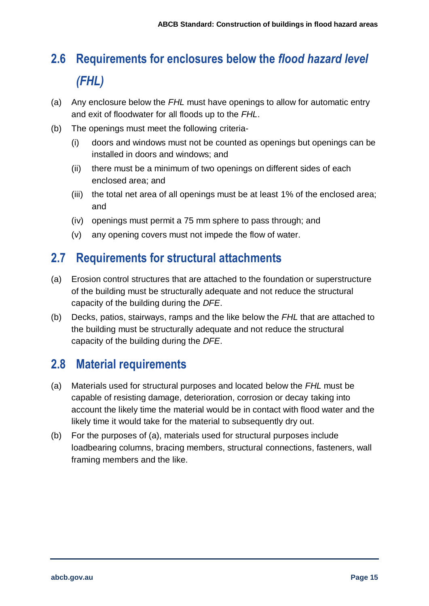# <span id="page-21-0"></span>**2.6 Requirements for enclosures below the** *flood hazard level (FHL)*

- (a) Any enclosure below the *FHL* must have openings to allow for automatic entry and exit of floodwater for all floods up to the *FHL*.
- (b) The openings must meet the following criteria-
	- (i) doors and windows must not be counted as openings but openings can be installed in doors and windows; and
	- (ii) there must be a minimum of two openings on different sides of each enclosed area; and
	- (iii) the total net area of all openings must be at least 1% of the enclosed area; and
	- (iv) openings must permit a 75 mm sphere to pass through; and
	- (v) any opening covers must not impede the flow of water.

#### <span id="page-21-1"></span>**2.7 Requirements for structural attachments**

- (a) Erosion control structures that are attached to the foundation or superstructure of the building must be structurally adequate and not reduce the structural capacity of the building during the *DFE*.
- (b) Decks, patios, stairways, ramps and the like below the *FHL* that are attached to the building must be structurally adequate and not reduce the structural capacity of the building during the *DFE*.

#### <span id="page-21-2"></span>**2.8 Material requirements**

- (a) Materials used for structural purposes and located below the *FHL* must be capable of resisting damage, deterioration, corrosion or decay taking into account the likely time the material would be in contact with flood water and the likely time it would take for the material to subsequently dry out.
- (b) For the purposes of (a), materials used for structural purposes include loadbearing columns, bracing members, structural connections, fasteners, wall framing members and the like.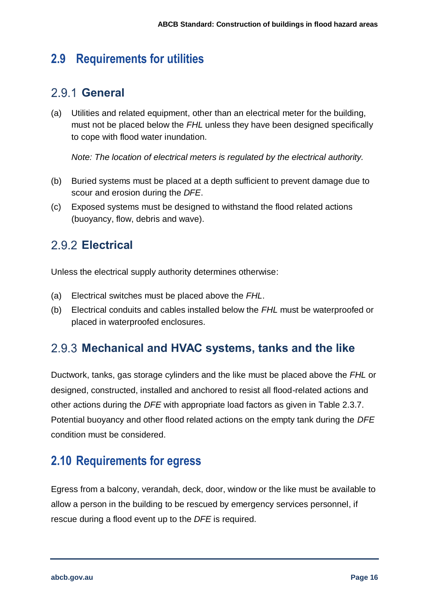### <span id="page-22-0"></span>**2.9 Requirements for utilities**

#### <span id="page-22-1"></span>**General**

(a) Utilities and related equipment, other than an electrical meter for the building, must not be placed below the *FHL* unless they have been designed specifically to cope with flood water inundation.

*Note: The location of electrical meters is regulated by the electrical authority.*

- (b) Buried systems must be placed at a depth sufficient to prevent damage due to scour and erosion during the *DFE*.
- (c) Exposed systems must be designed to withstand the flood related actions (buoyancy, flow, debris and wave).

#### <span id="page-22-2"></span>**Electrical**

Unless the electrical supply authority determines otherwise:

- (a) Electrical switches must be placed above the *FHL*.
- (b) Electrical conduits and cables installed below the *FHL* must be waterproofed or placed in waterproofed enclosures.

#### <span id="page-22-3"></span>**Mechanical and HVAC systems, tanks and the like**

Ductwork, tanks, gas storage cylinders and the like must be placed above the *FHL* or designed, constructed, installed and anchored to resist all flood-related actions and other actions during the *DFE* with appropriate load factors as given in Table 2.3.7. Potential buoyancy and other flood related actions on the empty tank during the *DFE* condition must be considered.

#### <span id="page-22-4"></span>**2.10 Requirements for egress**

Egress from a balcony, verandah, deck, door, window or the like must be available to allow a person in the building to be rescued by emergency services personnel, if rescue during a flood event up to the *DFE* is required.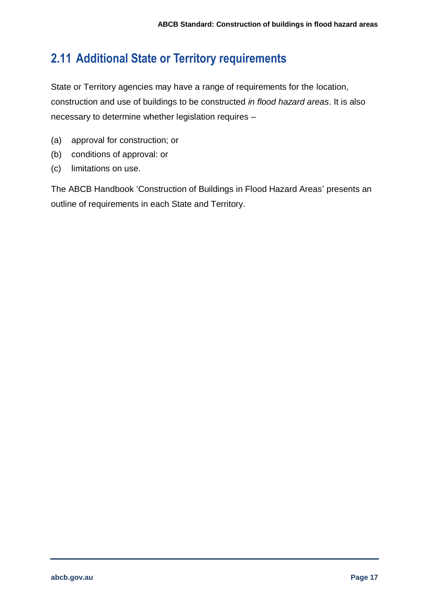## <span id="page-23-0"></span>**2.11 Additional State or Territory requirements**

State or Territory agencies may have a range of requirements for the location, construction and use of buildings to be constructed *in flood hazard areas*. It is also necessary to determine whether legislation requires –

- (a) approval for construction; or
- (b) conditions of approval: or
- (c) limitations on use.

The ABCB Handbook 'Construction of Buildings in Flood Hazard Areas' presents an outline of requirements in each State and Territory.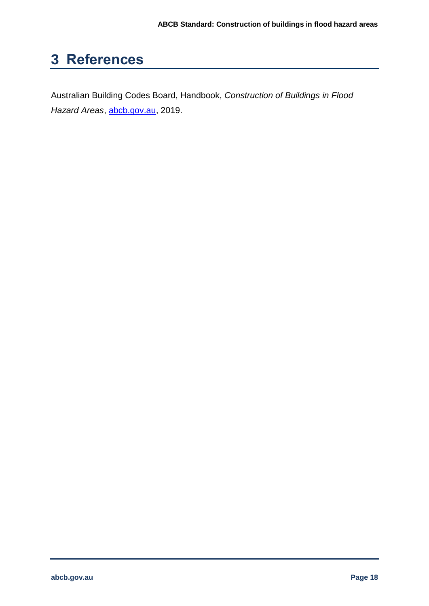# <span id="page-24-0"></span>**3 References**

Australian Building Codes Board, Handbook, *Construction of Buildings in Flood Hazard Areas*, [abcb.gov.au,](https://www.abcb.gov.au/) 2019.